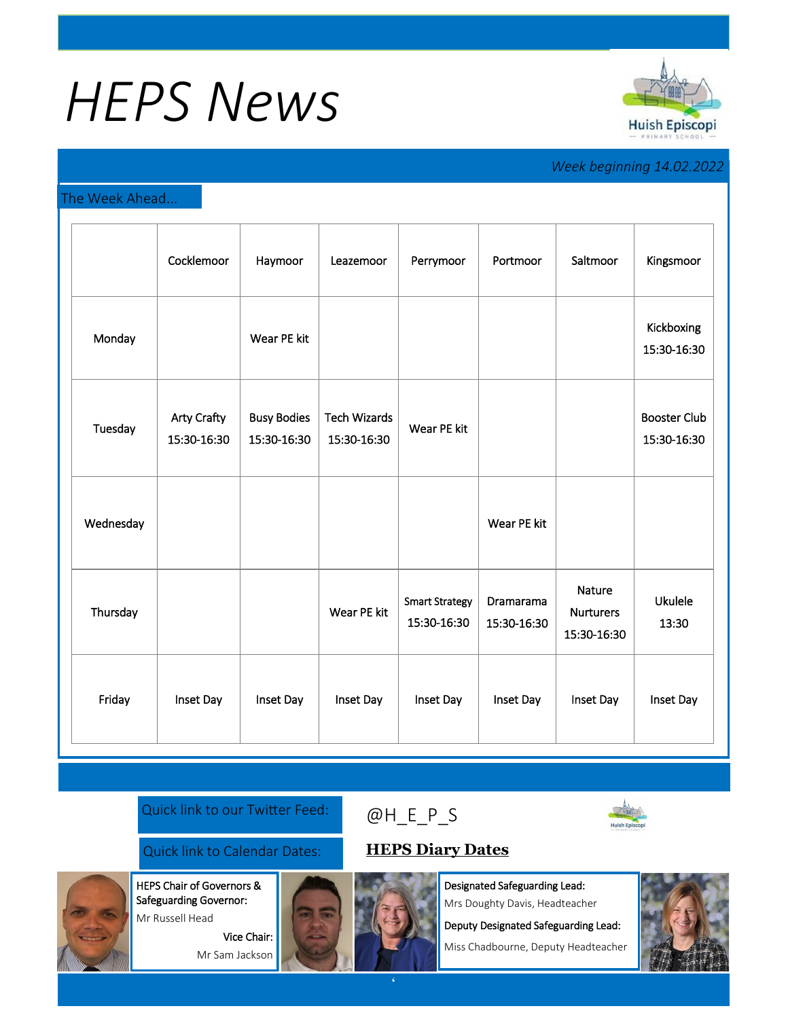# *HEPS News*



## *Week beginning 14.02.2022*

#### The Week Ahead...

|           | Cocklemoor                        | Haymoor                           | Leazemoor                          | Perrymoor                            | Portmoor                        | Saltmoor                                  | Kingsmoor                          |
|-----------|-----------------------------------|-----------------------------------|------------------------------------|--------------------------------------|---------------------------------|-------------------------------------------|------------------------------------|
| Monday    |                                   | Wear PE kit                       |                                    |                                      |                                 |                                           | Kickboxing<br>15:30-16:30          |
| Tuesday   | <b>Arty Crafty</b><br>15:30-16:30 | <b>Busy Bodies</b><br>15:30-16:30 | <b>Tech Wizards</b><br>15:30-16:30 | Wear PE kit                          |                                 |                                           | <b>Booster Club</b><br>15:30-16:30 |
| Wednesday |                                   |                                   |                                    |                                      | Wear PE kit                     |                                           |                                    |
| Thursday  |                                   |                                   | Wear PE kit                        | <b>Smart Strategy</b><br>15:30-16:30 | <b>Dramarama</b><br>15:30-16:30 | Nature<br><b>Nurturers</b><br>15:30-16:30 | <b>Ukulele</b><br>13:30            |
| Friday    | Inset Day                         | Inset Day                         | Inset Day                          | Inset Day                            | Inset Day                       | Inset Day                                 | Inset Day                          |

#### Quick link to our Twitter Feed:

### Quick link to Calendar Dates: **[HEPS Diary Dates](https://huishepiscopiprimary.co.uk/diary-dates/)**

HEPS Chair of Governors & Safeguarding Governor:

Mr Russell Head

Vice Chair: Mr Sam Jackson



Designated Safeguarding Lead: Mrs Doughty Davis, Headteacher

Deputy Designated Safeguarding Lead:

Miss Chadbourne, Deputy Headteacher



[@H\\_E\\_](https://huishepiscopiprimary.co.uk/diary-dates/)P\_S